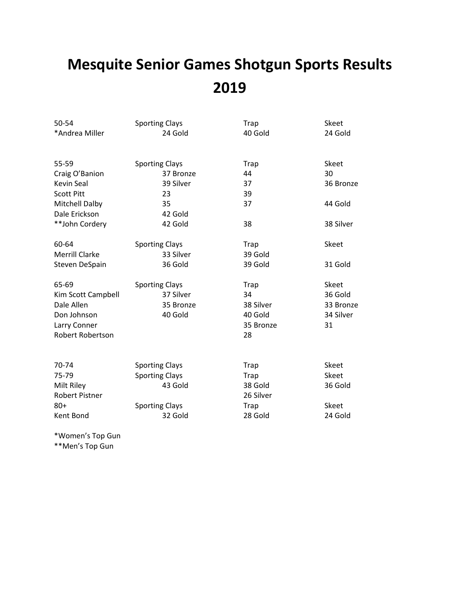# **Mesquite Senior Games Shotgun Sports Results 2019**

| 50-54                   | <b>Sporting Clays</b> | Trap        | Skeet        |
|-------------------------|-----------------------|-------------|--------------|
| *Andrea Miller          | 24 Gold               | 40 Gold     | 24 Gold      |
| 55-59                   | <b>Sporting Clays</b> | <b>Trap</b> | Skeet        |
| Craig O'Banion          | 37 Bronze             | 44          | 30           |
| <b>Kevin Seal</b>       | 39 Silver             | 37          | 36 Bronze    |
| <b>Scott Pitt</b>       | 23                    | 39          |              |
| <b>Mitchell Dalby</b>   | 35                    | 37          | 44 Gold      |
| Dale Erickson           | 42 Gold               |             |              |
| **John Cordery          | 42 Gold               | 38          | 38 Silver    |
| 60-64                   | <b>Sporting Clays</b> | <b>Trap</b> | <b>Skeet</b> |
| <b>Merrill Clarke</b>   | 33 Silver             | 39 Gold     |              |
| Steven DeSpain          | 36 Gold               | 39 Gold     | 31 Gold      |
| 65-69                   | <b>Sporting Clays</b> | Trap        | Skeet        |
| Kim Scott Campbell      | 37 Silver             | 34          | 36 Gold      |
| Dale Allen              | 35 Bronze             | 38 Silver   | 33 Bronze    |
| Don Johnson             | 40 Gold               | 40 Gold     | 34 Silver    |
| Larry Conner            |                       | 35 Bronze   | 31           |
| <b>Robert Robertson</b> |                       | 28          |              |
| 70-74                   | <b>Sporting Clays</b> | <b>Trap</b> | Skeet        |
| 75-79                   | <b>Sporting Clays</b> | <b>Trap</b> | Skeet        |
| Milt Riley              | 43 Gold               | 38 Gold     | 36 Gold      |
| <b>Robert Pistner</b>   |                       | 26 Silver   |              |
| $80 +$                  | <b>Sporting Clays</b> | <b>Trap</b> | Skeet        |
| Kent Bond               | 32 Gold               | 28 Gold     | 24 Gold      |
|                         |                       |             |              |

\*Women's Top Gun \*\*Men's Top Gun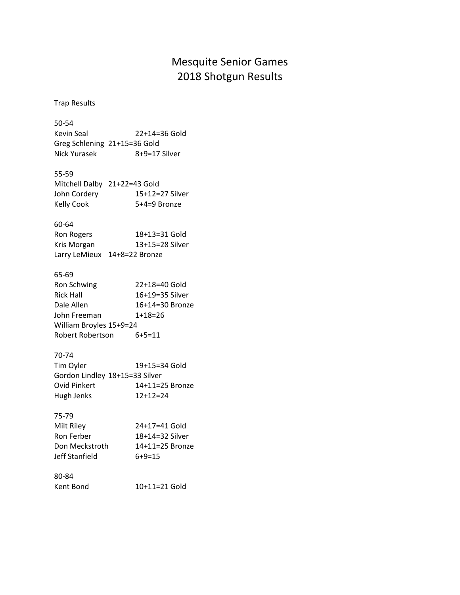# Mesquite Senior Games 2018 Shotgun Results

Trap Results

50-54 Kevin Seal 22+14=36 Gold Greg Schlening 21+15=36 Gold Nick Yurasek 8+9=17 Silver 55-59 Mitchell Dalby 21+22=43 Gold John Cordery 15+12=27 Silver Kelly Cook 5+4=9 Bronze 60-64 Ron Rogers 18+13=31 Gold Kris Morgan 13+15=28 Silver Larry LeMieux 14+8=22 Bronze 65-69 Ron Schwing 22+18=40 Gold Rick Hall 16+19=35 Silver Dale Allen 16+14=30 Bronze John Freeman 1+18=26 William Broyles 15+9=24 Robert Robertson 6+5=11 70-74 Tim Oyler 19+15=34 Gold Gordon Lindley 18+15=33 Silver Ovid Pinkert 14+11=25 Bronze Hugh Jenks 12+12=24 75-79 Milt Riley 24+17=41 Gold Ron Ferber 18+14=32 Silver Don Meckstroth 14+11=25 Bronze Jeff Stanfield 6+9=15 80-84 Kent Bond 10+11=21 Gold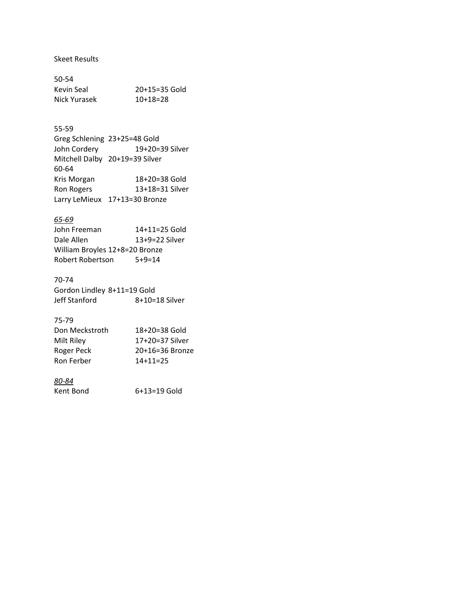# Skeet Results

| 50-54        |                 |
|--------------|-----------------|
| Kevin Seal   | $20+15=35$ Gold |
| Nick Yurasek | $10+18=28$      |

#### 55-59

|                   | Greg Schlening 23+25=48 Gold   |
|-------------------|--------------------------------|
| John Cordery      | 19+20=39 Silver                |
|                   | Mitchell Dalby 20+19=39 Silver |
| 60-64             |                                |
| Kris Morgan       | 18+20=38 Gold                  |
| <b>Ron Rogers</b> | 13+18=31 Silver                |
|                   | Larry LeMieux 17+13=30 Bronze  |
|                   |                                |

#### *65-69*

| John Freeman                   | 14+11=25 Gold    |  |
|--------------------------------|------------------|--|
| Dale Allen                     | $13+9=22$ Silver |  |
| William Broyles 12+8=20 Bronze |                  |  |
| Robert Robertson               | $5+9=14$         |  |

# 70-74

Gordon Lindley 8+11=19 Gold Jeff Stanford 8+10=18 Silver

#### 75-79

| Don Meckstroth | $18+20=38$ Gold |
|----------------|-----------------|
| Milt Riley     | 17+20=37 Silver |
| Roger Peck     | 20+16=36 Bronze |
| Ron Ferber     | $14+11=25$      |

# *80-84*

Kent Bond 6+13=19 Gold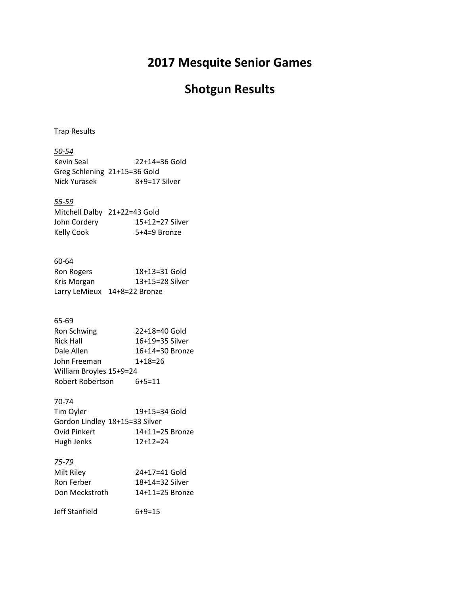# **2017 Mesquite Senior Games**

# **Shotgun Results**

Trap Results

| $50 - 54$<br><b>Kevin Seal</b><br>Greg Schlening 21+15=36 Gold<br><b>Nick Yurasek</b>                                        | 22+14=36 Gold<br>8+9=17 Silver                                                   |
|------------------------------------------------------------------------------------------------------------------------------|----------------------------------------------------------------------------------|
| <u>55-59</u><br>Mitchell Dalby 21+22=43 Gold<br>John Cordery<br><b>Kelly Cook</b>                                            | 15+12=27 Silver<br>5+4=9 Bronze                                                  |
| 60-64<br>Ron Rogers<br>Kris Morgan<br>Larry LeMieux 14+8=22 Bronze                                                           | 18+13=31 Gold<br>13+15=28 Silver                                                 |
| 65-69<br>Ron Schwing<br><b>Rick Hall</b><br>Dale Allen<br>John Freeman<br>William Broyles 15+9=24<br><b>Robert Robertson</b> | 22+18=40 Gold<br>16+19=35 Silver<br>16+14=30 Bronze<br>$1+18=26$<br>$6 + 5 = 11$ |
| 70-74<br>Tim Oyler<br>Gordon Lindley 18+15=33 Silver<br><b>Ovid Pinkert</b><br>Hugh Jenks                                    | 19+15=34 Gold<br>14+11=25 Bronze<br>$12+12=24$                                   |
| 75-79<br>Milt Riley<br><b>Ron Ferber</b><br>Don Meckstroth                                                                   | 24+17=41 Gold<br>18+14=32 Silver<br>14+11=25 Bronze                              |

Jeff Stanfield 6+9=15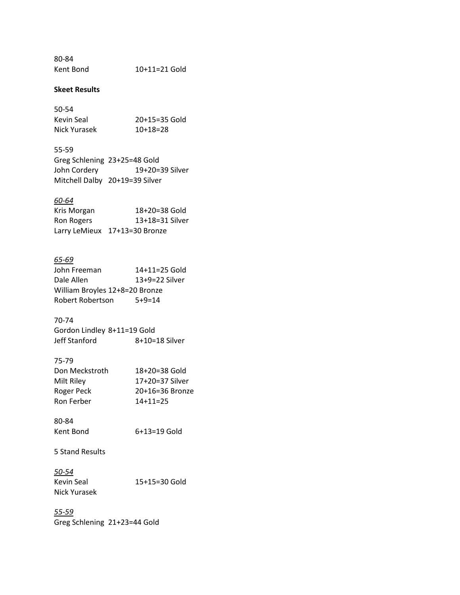80-84 Kent Bond 10+11=21 Gold

#### **Skeet Results**

| 50-54        |                 |
|--------------|-----------------|
| Kevin Seal   | $20+15=35$ Gold |
| Nick Yurasek | $10+18=28$      |

| 55-59        |                                |
|--------------|--------------------------------|
|              | Greg Schlening 23+25=48 Gold   |
| John Cordery | 19+20=39 Silver                |
|              | Mitchell Dalby 20+19=39 Silver |

#### *60-64*

| Kris Morgan | $18+20=38$ Gold               |
|-------------|-------------------------------|
| Ron Rogers  | 13+18=31 Silver               |
|             | Larry LeMieux 17+13=30 Bronze |

#### *65-69*

| John Freeman                   | 14+11=25 Gold    |  |
|--------------------------------|------------------|--|
| Dale Allen                     | $13+9=22$ Silver |  |
| William Broyles 12+8=20 Bronze |                  |  |
| Robert Robertson               | $5+9=14$         |  |

# 70-74

| Gordon Lindley 8+11=19 Gold |                |
|-----------------------------|----------------|
| Jeff Stanford               | 8+10=18 Silver |

#### 75-79

| $18+20=38$ Gold |
|-----------------|
| 17+20=37 Silver |
| 20+16=36 Bronze |
| $14+11=25$      |
|                 |

| 80-84     |                |
|-----------|----------------|
| Kent Bond | $6+13=19$ Gold |

5 Stand Results

*50-54* 15+15=30 Gold Nick Yurasek

*55-59* Greg Schlening 21+23=44 Gold